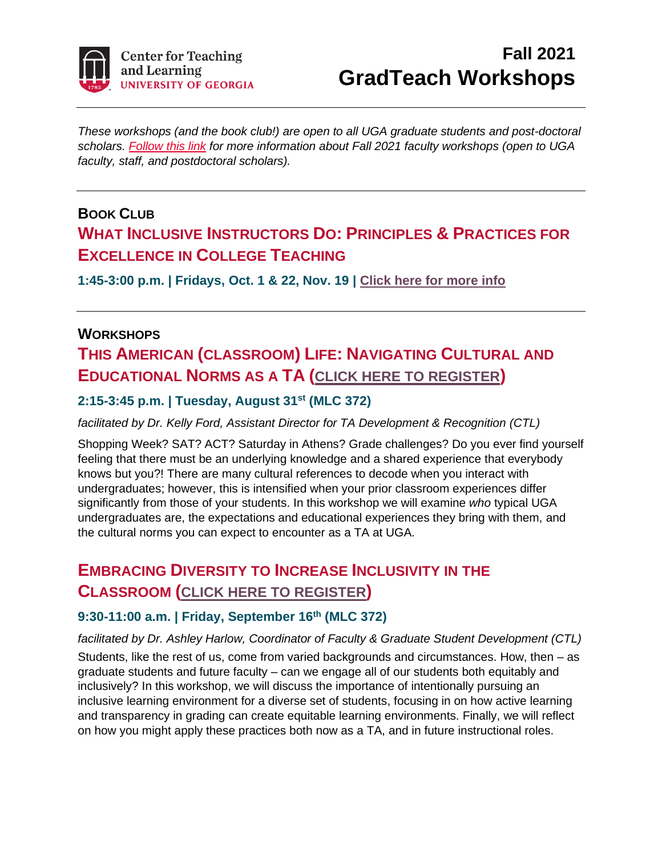

# **Fall 2021 GradTeach Workshops**

*These workshops (and the book club!) are open to all UGA graduate students and post-doctoral scholars. [Follow this link](https://ugeorgia.ca1.qualtrics.com/CP/File.php?F=F_9ufFY57dWfAqsl0) for more information about Fall 2021 faculty workshops (open to UGA faculty, staff, and postdoctoral scholars).*

### **BOOK CLUB WHAT INCLUSIVE INSTRUCTORS DO: PRINCIPLES & PRACTICES FOR EXCELLENCE IN COLLEGE TEACHING**

**1:45-3:00 p.m. | Fridays, Oct. 1 & 22, Nov. 19 | [Click here for more info](https://ugeorgia.ca1.qualtrics.com/jfe/form/SV_5w3dWDwe2ZsWXhY)**

#### **WORKSHOPS**

# **THIS AMERICAN (CLASSROOM) LIFE: NAVIGATING CULTURAL AND EDUCATIONAL NORMS AS A TA ([CLICK HERE TO REGISTER](https://ugeorgia.ca1.qualtrics.com/jfe/form/SV_1LZSnN1pTIB0tHo))**

#### **2:15-3:45 p.m. | Tuesday, August 31st (MLC 372)**

*facilitated by Dr. Kelly Ford, Assistant Director for TA Development & Recognition (CTL)*

Shopping Week? SAT? ACT? Saturday in Athens? Grade challenges? Do you ever find yourself feeling that there must be an underlying knowledge and a shared experience that everybody knows but you?! There are many cultural references to decode when you interact with undergraduates; however, this is intensified when your prior classroom experiences differ significantly from those of your students. In this workshop we will examine *who* typical UGA undergraduates are, the expectations and educational experiences they bring with them, and the cultural norms you can expect to encounter as a TA at UGA.

# **EMBRACING DIVERSITY TO INCREASE INCLUSIVITY IN THE CLASSROOM ([CLICK HERE TO REGISTER](https://ugeorgia.ca1.qualtrics.com/jfe/form/SV_2meYSb7bRib49QW))**

#### **9:30-11:00 a.m. | Friday, September 16th (MLC 372)**

*facilitated by Dr. Ashley Harlow, Coordinator of Faculty & Graduate Student Development (CTL)* Students, like the rest of us, come from varied backgrounds and circumstances. How, then – as graduate students and future faculty – can we engage all of our students both equitably and inclusively? In this workshop, we will discuss the importance of intentionally pursuing an inclusive learning environment for a diverse set of students, focusing in on how active learning and transparency in grading can create equitable learning environments. Finally, we will reflect on how you might apply these practices both now as a TA, and in future instructional roles.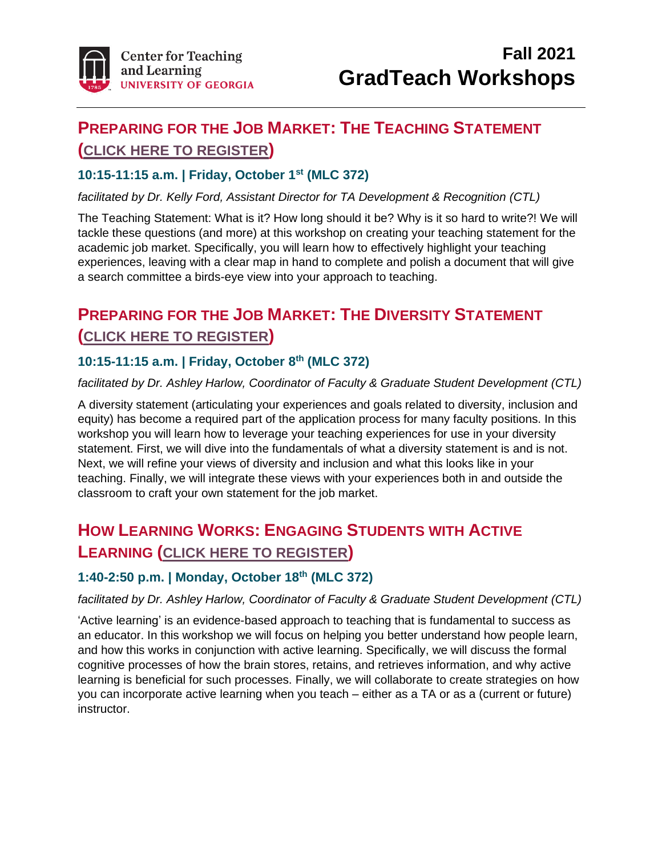

# **PREPARING FOR THE JOB MARKET: THE TEACHING STATEMENT ([CLICK HERE TO REGISTER](https://ugeorgia.ca1.qualtrics.com/jfe/form/SV_0oVZcGoCRDuoKnY))**

#### **10:15-11:15 a.m. | Friday, October 1st (MLC 372)**

*facilitated by Dr. Kelly Ford, Assistant Director for TA Development & Recognition (CTL)*

The Teaching Statement: What is it? How long should it be? Why is it so hard to write?! We will tackle these questions (and more) at this workshop on creating your teaching statement for the academic job market. Specifically, you will learn how to effectively highlight your teaching experiences, leaving with a clear map in hand to complete and polish a document that will give a search committee a birds-eye view into your approach to teaching.

# **PREPARING FOR THE JOB MARKET: THE DIVERSITY STATEMENT ([CLICK HERE TO REGISTER](https://ugeorgia.ca1.qualtrics.com/jfe/form/SV_4HsgxnCDHKlntz0))**

#### **10:15-11:15 a.m. | Friday, October 8 th (MLC 372)**

#### *facilitated by Dr. Ashley Harlow, Coordinator of Faculty & Graduate Student Development (CTL)*

A diversity statement (articulating your experiences and goals related to diversity, inclusion and equity) has become a required part of the application process for many faculty positions. In this workshop you will learn how to leverage your teaching experiences for use in your diversity statement. First, we will dive into the fundamentals of what a diversity statement is and is not. Next, we will refine your views of diversity and inclusion and what this looks like in your teaching. Finally, we will integrate these views with your experiences both in and outside the classroom to craft your own statement for the job market.

### **HOW LEARNING WORKS: ENGAGING STUDENTS WITH ACTIVE LEARNING ([CLICK HERE TO REGISTER](https://ugeorgia.ca1.qualtrics.com/jfe/form/SV_eKzYY3vArwBl2Ye))**

#### **1:40-2:50 p.m. | Monday, October 18th (MLC 372)**

#### *facilitated by Dr. Ashley Harlow, Coordinator of Faculty & Graduate Student Development (CTL)*

'Active learning' is an evidence-based approach to teaching that is fundamental to success as an educator. In this workshop we will focus on helping you better understand how people learn, and how this works in conjunction with active learning. Specifically, we will discuss the formal cognitive processes of how the brain stores, retains, and retrieves information, and why active learning is beneficial for such processes. Finally, we will collaborate to create strategies on how you can incorporate active learning when you teach – either as a TA or as a (current or future) instructor.